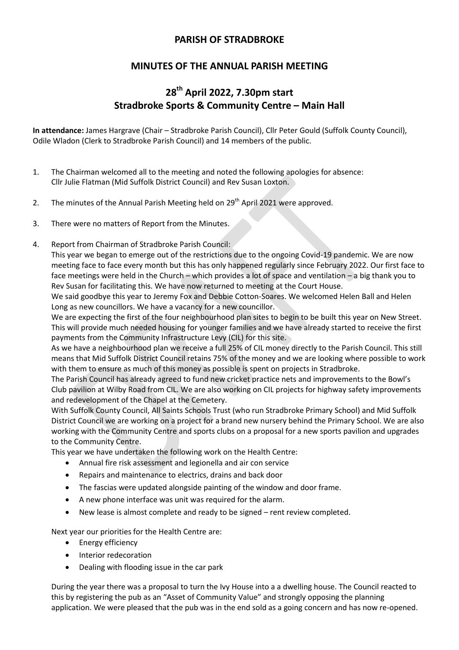# **PARISH OF STRADBROKE**

# **MINUTES OF THE ANNUAL PARISH MEETING**

# **28 th April 2022, 7.30pm start Stradbroke Sports & Community Centre – Main Hall**

**In attendance:** James Hargrave (Chair – Stradbroke Parish Council), Cllr Peter Gould (Suffolk County Council), Odile Wladon (Clerk to Stradbroke Parish Council) and 14 members of the public.

- 1. The Chairman welcomed all to the meeting and noted the following apologies for absence: Cllr Julie Flatman (Mid Suffolk District Council) and Rev Susan Loxton.
- 2. The minutes of the Annual Parish Meeting held on  $29<sup>th</sup>$  April 2021 were approved.
- 3. There were no matters of Report from the Minutes.
- 4. Report from Chairman of Stradbroke Parish Council:

This year we began to emerge out of the restrictions due to the ongoing Covid-19 pandemic. We are now meeting face to face every month but this has only happened regularly since February 2022. Our first face to face meetings were held in the Church – which provides a lot of space and ventilation – a big thank you to Rev Susan for facilitating this. We have now returned to meeting at the Court House.

We said goodbye this year to Jeremy Fox and Debbie Cotton-Soares. We welcomed Helen Ball and Helen Long as new councillors. We have a vacancy for a new councillor.

We are expecting the first of the four neighbourhood plan sites to begin to be built this year on New Street. This will provide much needed housing for younger families and we have already started to receive the first payments from the Community Infrastructure Levy (CIL) for this site.

As we have a neighbourhood plan we receive a full 25% of CIL money directly to the Parish Council. This still means that Mid Suffolk District Council retains 75% of the money and we are looking where possible to work with them to ensure as much of this money as possible is spent on projects in Stradbroke.

The Parish Council has already agreed to fund new cricket practice nets and improvements to the Bowl's Club pavilion at Wilby Road from CIL. We are also working on CIL projects for highway safety improvements and redevelopment of the Chapel at the Cemetery.

With Suffolk County Council, All Saints Schools Trust (who run Stradbroke Primary School) and Mid Suffolk District Council we are working on a project for a brand new nursery behind the Primary School. We are also working with the Community Centre and sports clubs on a proposal for a new sports pavilion and upgrades to the Community Centre.

This year we have undertaken the following work on the Health Centre:

- Annual fire risk assessment and legionella and air con service
- Repairs and maintenance to electrics, drains and back door
- The fascias were updated alongside painting of the window and door frame.
- A new phone interface was unit was required for the alarm.
- New lease is almost complete and ready to be signed rent review completed.

Next year our priorities for the Health Centre are:

- Energy efficiency
- Interior redecoration
- Dealing with flooding issue in the car park

During the year there was a proposal to turn the Ivy House into a a dwelling house. The Council reacted to this by registering the pub as an "Asset of Community Value" and strongly opposing the planning application. We were pleased that the pub was in the end sold as a going concern and has now re-opened.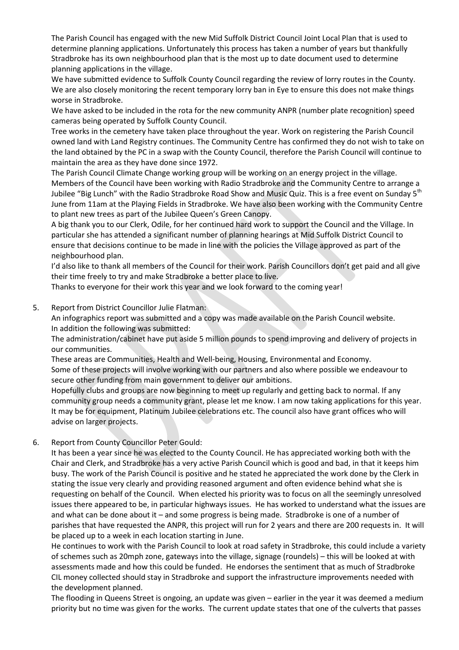The Parish Council has engaged with the new Mid Suffolk District Council Joint Local Plan that is used to determine planning applications. Unfortunately this process has taken a number of years but thankfully Stradbroke has its own neighbourhood plan that is the most up to date document used to determine planning applications in the village.

We have submitted evidence to Suffolk County Council regarding the review of lorry routes in the County. We are also closely monitoring the recent temporary lorry ban in Eye to ensure this does not make things worse in Stradbroke.

We have asked to be included in the rota for the new community ANPR (number plate recognition) speed cameras being operated by Suffolk County Council.

Tree works in the cemetery have taken place throughout the year. Work on registering the Parish Council owned land with Land Registry continues. The Community Centre has confirmed they do not wish to take on the land obtained by the PC in a swap with the County Council, therefore the Parish Council will continue to maintain the area as they have done since 1972.

The Parish Council Climate Change working group will be working on an energy project in the village. Members of the Council have been working with Radio Stradbroke and the Community Centre to arrange a Jubilee "Big Lunch" with the Radio Stradbroke Road Show and Music Quiz. This is a free event on Sunday 5<sup>th</sup> June from 11am at the Playing Fields in Stradbroke. We have also been working with the Community Centre to plant new trees as part of the Jubilee Queen's Green Canopy.

A big thank you to our Clerk, Odile, for her continued hard work to support the Council and the Village. In particular she has attended a significant number of planning hearings at Mid Suffolk District Council to ensure that decisions continue to be made in line with the policies the Village approved as part of the neighbourhood plan.

I'd also like to thank all members of the Council for their work. Parish Councillors don't get paid and all give their time freely to try and make Stradbroke a better place to live.

Thanks to everyone for their work this year and we look forward to the coming year!

5. Report from District Councillor Julie Flatman:

An infographics report was submitted and a copy was made available on the Parish Council website. In addition the following was submitted:

The administration/cabinet have put aside 5 million pounds to spend improving and delivery of projects in our communities.

These areas are Communities, Health and Well-being, Housing, Environmental and Economy.

Some of these projects will involve working with our partners and also where possible we endeavour to secure other funding from main government to deliver our ambitions.

Hopefully clubs and groups are now beginning to meet up regularly and getting back to normal. If any community group needs a community grant, please let me know. I am now taking applications for this year. It may be for equipment, Platinum Jubilee celebrations etc. The council also have grant offices who will advise on larger projects.

# 6. Report from County Councillor Peter Gould:

It has been a year since he was elected to the County Council. He has appreciated working both with the Chair and Clerk, and Stradbroke has a very active Parish Council which is good and bad, in that it keeps him busy. The work of the Parish Council is positive and he stated he appreciated the work done by the Clerk in stating the issue very clearly and providing reasoned argument and often evidence behind what she is requesting on behalf of the Council. When elected his priority was to focus on all the seemingly unresolved issues there appeared to be, in particular highways issues. He has worked to understand what the issues are and what can be done about it – and some progress is being made. Stradbroke is one of a number of parishes that have requested the ANPR, this project will run for 2 years and there are 200 requests in. It will be placed up to a week in each location starting in June.

He continues to work with the Parish Council to look at road safety in Stradbroke, this could include a variety of schemes such as 20mph zone, gateways into the village, signage (roundels) – this will be looked at with assessments made and how this could be funded. He endorses the sentiment that as much of Stradbroke CIL money collected should stay in Stradbroke and support the infrastructure improvements needed with the development planned.

The flooding in Queens Street is ongoing, an update was given – earlier in the year it was deemed a medium priority but no time was given for the works. The current update states that one of the culverts that passes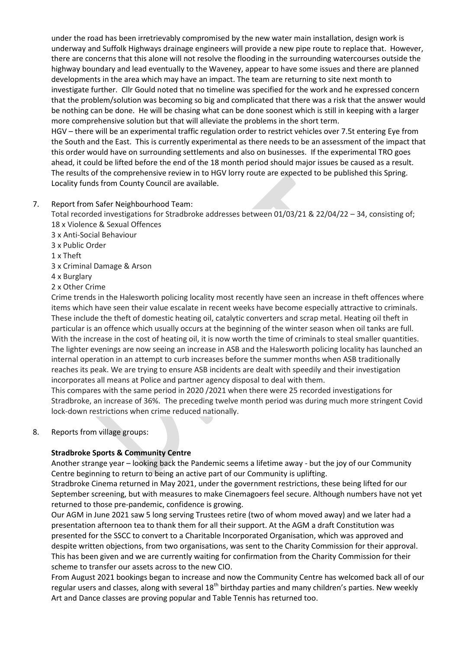under the road has been irretrievably compromised by the new water main installation, design work is underway and Suffolk Highways drainage engineers will provide a new pipe route to replace that. However, there are concerns that this alone will not resolve the flooding in the surrounding watercourses outside the highway boundary and lead eventually to the Waveney, appear to have some issues and there are planned developments in the area which may have an impact. The team are returning to site next month to investigate further. Cllr Gould noted that no timeline was specified for the work and he expressed concern that the problem/solution was becoming so big and complicated that there was a risk that the answer would be nothing can be done. He will be chasing what can be done soonest which is still in keeping with a larger more comprehensive solution but that will alleviate the problems in the short term.

HGV – there will be an experimental traffic regulation order to restrict vehicles over 7.5t entering Eye from the South and the East. This is currently experimental as there needs to be an assessment of the impact that this order would have on surrounding settlements and also on businesses. If the experimental TRO goes ahead, it could be lifted before the end of the 18 month period should major issues be caused as a result. The results of the comprehensive review in to HGV lorry route are expected to be published this Spring. Locality funds from County Council are available.

# 7. Report from Safer Neighbourhood Team:

Total recorded investigations for Stradbroke addresses between 01/03/21 & 22/04/22 – 34, consisting of; 18 x Violence & Sexual Offences

- 3 x Anti-Social Behaviour
- 3 x Public Order
- 1 x Theft
- 3 x Criminal Damage & Arson
- 4 x Burglary
- 2 x Other Crime

Crime trends in the Halesworth policing locality most recently have seen an increase in theft offences where items which have seen their value escalate in recent weeks have become especially attractive to criminals. These include the theft of domestic heating oil, catalytic converters and scrap metal. Heating oil theft in particular is an offence which usually occurs at the beginning of the winter season when oil tanks are full. With the increase in the cost of heating oil, it is now worth the time of criminals to steal smaller quantities. The lighter evenings are now seeing an increase in ASB and the Halesworth policing locality has launched an internal operation in an attempt to curb increases before the summer months when ASB traditionally reaches its peak. We are trying to ensure ASB incidents are dealt with speedily and their investigation incorporates all means at Police and partner agency disposal to deal with them.

This compares with the same period in 2020 /2021 when there were 25 recorded investigations for Stradbroke, an increase of 36%. The preceding twelve month period was during much more stringent Covid lock-down restrictions when crime reduced nationally.

8. Reports from village groups:

#### **Stradbroke Sports & Community Centre**

Another strange year – looking back the Pandemic seems a lifetime away - but the joy of our Community Centre beginning to return to being an active part of our Community is uplifting.

Stradbroke Cinema returned in May 2021, under the government restrictions, these being lifted for our September screening, but with measures to make Cinemagoers feel secure. Although numbers have not yet returned to those pre-pandemic, confidence is growing.

Our AGM in June 2021 saw 5 long serving Trustees retire (two of whom moved away) and we later had a presentation afternoon tea to thank them for all their support. At the AGM a draft Constitution was presented for the SSCC to convert to a Charitable Incorporated Organisation, which was approved and despite written objections, from two organisations, was sent to the Charity Commission for their approval. This has been given and we are currently waiting for confirmation from the Charity Commission for their scheme to transfer our assets across to the new CIO.

From August 2021 bookings began to increase and now the Community Centre has welcomed back all of our regular users and classes, along with several 18<sup>th</sup> birthday parties and many children's parties. New weekly Art and Dance classes are proving popular and Table Tennis has returned too.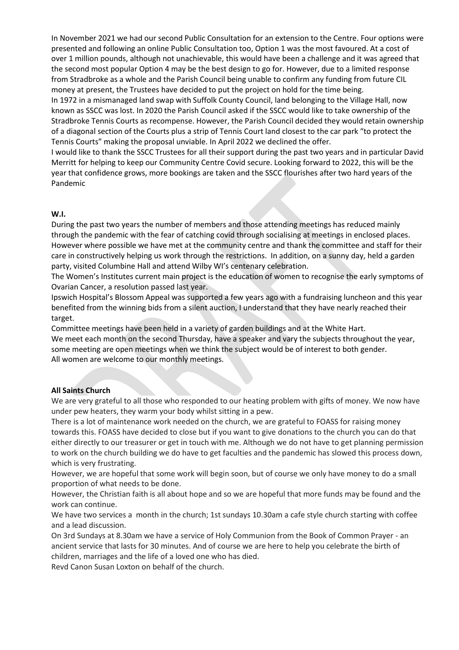In November 2021 we had our second Public Consultation for an extension to the Centre. Four options were presented and following an online Public Consultation too, Option 1 was the most favoured. At a cost of over 1 million pounds, although not unachievable, this would have been a challenge and it was agreed that the second most popular Option 4 may be the best design to go for. However, due to a limited response from Stradbroke as a whole and the Parish Council being unable to confirm any funding from future CIL money at present, the Trustees have decided to put the project on hold for the time being.

In 1972 in a mismanaged land swap with Suffolk County Council, land belonging to the Village Hall, now known as SSCC was lost. In 2020 the Parish Council asked if the SSCC would like to take ownership of the Stradbroke Tennis Courts as recompense. However, the Parish Council decided they would retain ownership of a diagonal section of the Courts plus a strip of Tennis Court land closest to the car park "to protect the Tennis Courts" making the proposal unviable. In April 2022 we declined the offer.

I would like to thank the SSCC Trustees for all their support during the past two years and in particular David Merritt for helping to keep our Community Centre Covid secure. Looking forward to 2022, this will be the year that confidence grows, more bookings are taken and the SSCC flourishes after two hard years of the Pandemic

#### **W.I.**

During the past two years the number of members and those attending meetings has reduced mainly through the pandemic with the fear of catching covid through socialising at meetings in enclosed places. However where possible we have met at the community centre and thank the committee and staff for their care in constructively helping us work through the restrictions. In addition, on a sunny day, held a garden party, visited Columbine Hall and attend Wilby WI's centenary celebration.

The Women's Institutes current main project is the education of women to recognise the early symptoms of Ovarian Cancer, a resolution passed last year.

Ipswich Hospital's Blossom Appeal was supported a few years ago with a fundraising luncheon and this year benefited from the winning bids from a silent auction, I understand that they have nearly reached their target.

Committee meetings have been held in a variety of garden buildings and at the White Hart. We meet each month on the second Thursday, have a speaker and vary the subjects throughout the year, some meeting are open meetings when we think the subject would be of interest to both gender. All women are welcome to our monthly meetings.

# **All Saints Church**

We are very grateful to all those who responded to our heating problem with gifts of money. We now have under pew heaters, they warm your body whilst sitting in a pew.

There is a lot of maintenance work needed on the church, we are grateful to FOASS for raising money towards this. FOASS have decided to close but if you want to give donations to the church you can do that either directly to our treasurer or get in touch with me. Although we do not have to get planning permission to work on the church building we do have to get faculties and the pandemic has slowed this process down, which is very frustrating.

However, we are hopeful that some work will begin soon, but of course we only have money to do a small proportion of what needs to be done.

However, the Christian faith is all about hope and so we are hopeful that more funds may be found and the work can continue.

We have two services a month in the church; 1st sundays 10.30am a cafe style church starting with coffee and a lead discussion.

On 3rd Sundays at 8.30am we have a service of Holy Communion from the Book of Common Prayer - an ancient service that lasts for 30 minutes. And of course we are here to help you celebrate the birth of children, marriages and the life of a loved one who has died.

Revd Canon Susan Loxton on behalf of the church.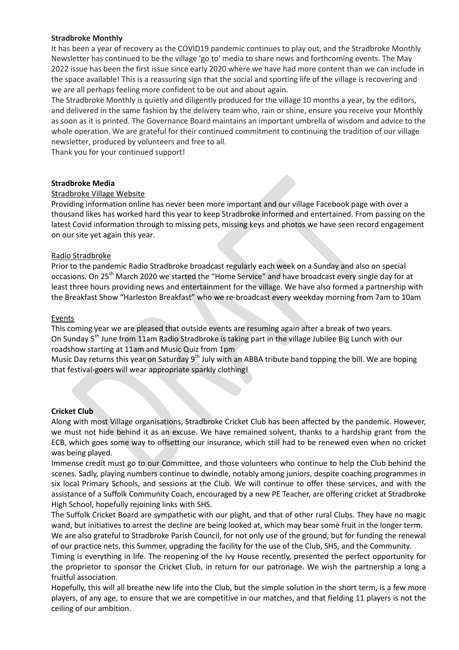# **Stradbroke Monthly**

It has been a year of recovery as the COVID19 pandemic continues to play out, and the Stradbroke Monthly Newsletter has continued to be the village 'go to' media to share news and forthcoming events. The May 2022 issue has been the first issue since early 2020 where we have had more content than we can include in the space available! This is a reassuring sign that the social and sporting life of the village is recovering and we are all perhaps feeling more confident to be out and about again.

The Stradbroke Monthly is quietly and diligently produced for the village 10 months a year, by the editors, and delivered in the same fashion by the delivery team who, rain or shine, ensure you receive your Monthly as soon as it is printed. The Governance Board maintains an important umbrella of wisdom and advice to the whole operation. We are grateful for their continued commitment to continuing the tradition of our village newsletter, produced by volunteers and free to all.

Thank you for your continued support!

#### **Stradbroke Media**

# Stradbroke Village Website

Providing information online has never been more important and our village Facebook page with over a thousand likes has worked hard this year to keep Stradbroke informed and entertained. From passing on the latest Covid information through to missing pets, missing keys and photos we have seen record engagement on our site yet again this year.

# Radio Stradbroke

Prior to the pandemic Radio Stradbroke broadcast regularly each week on a Sunday and also on special occasions. On 25<sup>th</sup> March 2020 we started the "Home Service" and have broadcast every single day for at least three hours providing news and entertainment for the village. We have also formed a partnership with the Breakfast Show "Harleston Breakfast" who we re-broadcast every weekday morning from 7am to 10am

#### Events

This coming year we are pleased that outside events are resuming again after a break of two years. On Sunday  $5<sup>th</sup>$  June from 11am Radio Stradbroke is taking part in the village Jubilee Big Lunch with our roadshow starting at 11am and Music Quiz from 1pm

Music Day returns this year on Saturday 9<sup>th</sup> July with an ABBA tribute band topping the bill. We are hoping that festival-goers will wear appropriate sparkly clothing!

#### **Cricket Club**

Along with most Village organisations, Stradbroke Cricket Club has been affected by the pandemic. However, we must not hide behind it as an excuse. We have remained solvent, thanks to a hardship grant from the ECB, which goes some way to offsetting our insurance, which still had to be renewed even when no cricket was being played.

Immense credit must go to our Committee, and those volunteers who continue to help the Club behind the scenes. Sadly, playing numbers continue to dwindle, notably among juniors, despite coaching programmes in six local Primary Schools, and sessions at the Club. We will continue to offer these services, and with the assistance of a Suffolk Community Coach, encouraged by a new PE Teacher, are offering cricket at Stradbroke High School, hopefully rejoining links with SHS.

The Suffolk Cricket Board are sympathetic with our plight, and that of other rural Clubs. They have no magic wand, but initiatives to arrest the decline are being looked at, which may bear some fruit in the longer term. We are also grateful to Stradbroke Parish Council, for not only use of the ground, but for funding the renewal of our practice nets, this Summer, upgrading the facility for the use of the Club, SHS, and the Community.

Timing is everything in life. The reopening of the Ivy House recently, presented the perfect opportunity for the proprietor to sponsor the Cricket Club, in return for our patronage. We wish the partnership a long a fruitful association.

Hopefully, this will all breathe new life into the Club, but the simple solution in the short term, is a few more players, of any age, to ensure that we are competitive in our matches, and that fielding 11 players is not the ceiling of our ambition.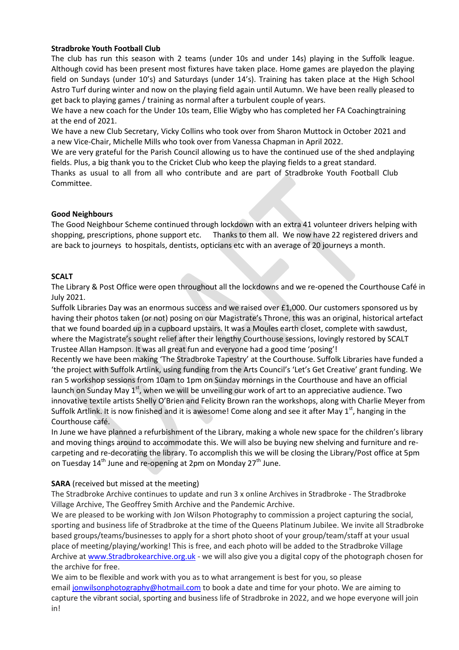# **Stradbroke Youth Football Club**

The club has run this season with 2 teams (under 10s and under 14s) playing in the Suffolk league. Although covid has been present most fixtures have taken place. Home games are playedon the playing field on Sundays (under 10's) and Saturdays (under 14's). Training has taken place at the High School Astro Turf during winter and now on the playing field again until Autumn. We have been really pleased to get back to playing games / training as normal after a turbulent couple of years.

We have a new coach for the Under 10s team, Ellie Wigby who has completed her FA Coachingtraining at the end of 2021.

We have a new Club Secretary, Vicky Collins who took over from Sharon Muttock in October 2021 and a new Vice-Chair, Michelle Mills who took over from Vanessa Chapman in April 2022.

We are very grateful for the Parish Council allowing us to have the continued use of the shed andplaying fields. Plus, a big thank you to the Cricket Club who keep the playing fields to a great standard. Thanks as usual to all from all who contribute and are part of Stradbroke Youth Football Club Committee.

# **Good Neighbours**

The Good Neighbour Scheme continued through lockdown with an extra 41 volunteer drivers helping with shopping, prescriptions, phone support etc. Thanks to them all. We now have 22 registered drivers and are back to journeys to hospitals, dentists, opticians etc with an average of 20 journeys a month.

# **SCALT**

The Library & Post Office were open throughout all the lockdowns and we re-opened the Courthouse Café in July 2021.

Suffolk Libraries Day was an enormous success and we raised over £1,000. Our customers sponsored us by having their photos taken (or not) posing on our Magistrate's Throne, this was an original, historical artefact that we found boarded up in a cupboard upstairs. It was a Moules earth closet, complete with sawdust, where the Magistrate's sought relief after their lengthy Courthouse sessions, lovingly restored by SCALT Trustee Allan Hampson. It was all great fun and everyone had a good time 'posing'!

Recently we have been making 'The Stradbroke Tapestry' at the Courthouse. Suffolk Libraries have funded a 'the project with Suffolk Artlink, using funding from the Arts Council's 'Let's Get Creative' grant funding. We ran 5 workshop sessions from 10am to 1pm on Sunday mornings in the Courthouse and have an official launch on Sunday May 1<sup>st</sup>, when we will be unveiling our work of art to an appreciative audience. Two innovative textile artists Shelly O'Brien and Felicity Brown ran the workshops, along with Charlie Meyer from Suffolk Artlink. It is now finished and it is awesome! Come along and see it after May  $1<sup>st</sup>$ , hanging in the Courthouse café.

In June we have planned a refurbishment of the Library, making a whole new space for the children's library and moving things around to accommodate this. We will also be buying new shelving and furniture and recarpeting and re-decorating the library. To accomplish this we will be closing the Library/Post office at 5pm on Tuesday  $14^{th}$  June and re-opening at 2pm on Monday  $27^{th}$  June.

#### **SARA** (received but missed at the meeting)

The Stradbroke Archive continues to update and run 3 x online Archives in Stradbroke - The Stradbroke Village Archive, The Geoffrey Smith Archive and the Pandemic Archive.

We are pleased to be working with Jon Wilson Photography to commission a project capturing the social, sporting and business life of Stradbroke at the time of the Queens Platinum Jubilee. We invite all Stradbroke based groups/teams/businesses to apply for a short photo shoot of your group/team/staff at your usual place of meeting/playing/working! This is free, and each photo will be added to the Stradbroke Village Archive at [www.Stradbrokearchive.org.uk](http://www.stradbrokearchive.org.uk/) - we will also give you a digital copy of the photograph chosen for the archive for free.

We aim to be flexible and work with you as to what arrangement is best for you, so please email [jonwilsonphotography@hotmail.com](mailto:jonwilsonphotography@hotmail.com) to book a date and time for your photo. We are aiming to capture the vibrant social, sporting and business life of Stradbroke in 2022, and we hope everyone will join in!